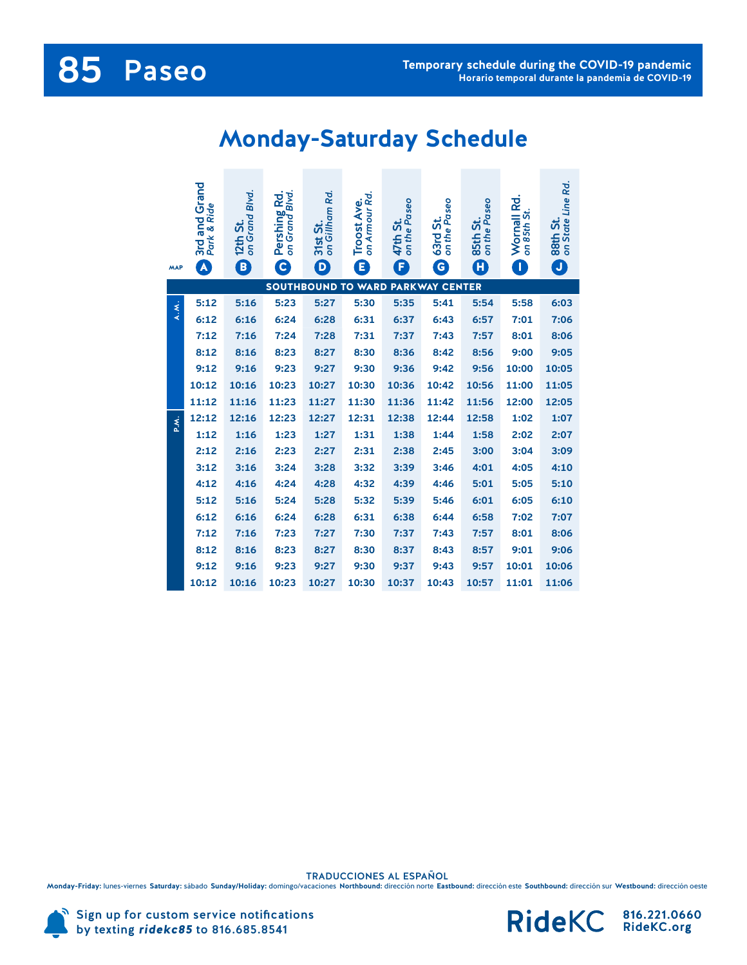## **85** Paseo

## **Monday-Saturday Schedule**

| <b>MAP</b>                                                             | 3rd and Grand<br>Park & Ride<br>A | on Grand Blvd.<br>12th St.<br>$\left[ \begin{matrix} \textbf{B} \end{matrix} \right]$ | Rd.<br>Pershing Rd.<br>on Grand Blvd<br>$\epsilon$ | on Gillham Rd.<br>31st St.<br>D | on Armour Rd.<br><b>Troost Ave.</b><br>O | on the Paseo<br>47th St.<br>F | on the Paseo<br>63rd St.<br>G | on the Paseo<br>85th St.<br>$\boldsymbol{\mathbf{\Omega}}$ | Wornall Rd.<br>on 85th St.<br>O | on State Line Rd.<br>88th St.<br>J |
|------------------------------------------------------------------------|-----------------------------------|---------------------------------------------------------------------------------------|----------------------------------------------------|---------------------------------|------------------------------------------|-------------------------------|-------------------------------|------------------------------------------------------------|---------------------------------|------------------------------------|
| <b>WARD</b><br><b>PARKWAY CENTER</b><br><b>SOUTHBOUND</b><br><b>TO</b> |                                   |                                                                                       |                                                    |                                 |                                          |                               |                               |                                                            |                                 |                                    |
| A.M.                                                                   | 5:12                              | 5:16                                                                                  | 5:23                                               | 5:27                            | 5:30                                     | 5:35                          | 5:41                          | 5:54                                                       | 5:58                            | 6:03                               |
|                                                                        | 6:12                              | 6:16                                                                                  | 6:24                                               | 6:28                            | 6:31                                     | 6:37                          | 6:43                          | 6:57                                                       | 7:01                            | 7:06                               |
|                                                                        | 7:12                              | 7:16                                                                                  | 7:24                                               | 7:28                            | 7:31                                     | 7:37                          | 7:43                          | 7:57                                                       | 8:01                            | 8:06                               |
|                                                                        | 8:12                              | 8:16                                                                                  | 8:23                                               | 8:27                            | 8:30                                     | 8:36                          | 8:42                          | 8:56                                                       | 9:00                            | 9:05                               |
|                                                                        | 9:12                              | 9:16                                                                                  | 9:23                                               | 9:27                            | 9:30                                     | 9:36                          | 9:42                          | 9:56                                                       | 10:00                           | 10:05                              |
|                                                                        | 10:12                             | 10:16                                                                                 | 10:23                                              | 10:27                           | 10:30                                    | 10:36                         | 10:42                         | 10:56                                                      | 11:00                           | 11:05                              |
|                                                                        | 11:12                             | 11:16                                                                                 | 11:23                                              | 11:27                           | 11:30                                    | 11:36                         | 11:42                         | 11:56                                                      | 12:00                           | 12:05                              |
| ₹.                                                                     | 12:12                             | 12:16                                                                                 | 12:23                                              | 12:27                           | 12:31                                    | 12:38                         | 12:44                         | 12:58                                                      | 1:02                            | 1:07                               |
|                                                                        | 1:12                              | 1:16                                                                                  | 1:23                                               | 1:27                            | 1:31                                     | 1:38                          | 1:44                          | 1:58                                                       | 2:02                            | 2:07                               |
|                                                                        | 2:12                              | 2:16                                                                                  | 2:23                                               | 2:27                            | 2:31                                     | 2:38                          | 2:45                          | 3:00                                                       | 3:04                            | 3:09                               |
|                                                                        | 3:12                              | 3:16                                                                                  | 3:24                                               | 3:28                            | 3:32                                     | 3:39                          | 3:46                          | 4:01                                                       | 4:05                            | 4:10                               |
|                                                                        | 4:12                              | 4:16                                                                                  | 4:24                                               | 4:28                            | 4:32                                     | 4:39                          | 4:46                          | 5:01                                                       | 5:05                            | 5:10                               |
|                                                                        | 5:12                              | 5:16                                                                                  | 5:24                                               | 5:28                            | 5:32                                     | 5:39                          | 5:46                          | 6:01                                                       | 6:05                            | 6:10                               |
|                                                                        | 6:12                              | 6:16                                                                                  | 6:24                                               | 6:28                            | 6:31                                     | 6:38                          | 6:44                          | 6:58                                                       | 7:02                            | 7:07                               |
|                                                                        | 7:12                              | 7:16                                                                                  | 7:23                                               | 7:27                            | 7:30                                     | 7:37                          | 7:43                          | 7:57                                                       | 8:01                            | 8:06                               |
|                                                                        | 8:12                              | 8:16                                                                                  | 8:23                                               | 8:27                            | 8:30                                     | 8:37                          | 8:43                          | 8:57                                                       | 9:01                            | 9:06                               |
|                                                                        | 9:12                              | 9:16                                                                                  | 9:23                                               | 9:27                            | 9:30                                     | 9:37                          | 9:43                          | 9:57                                                       | 10:01                           | 10:06                              |
|                                                                        | 10:12                             | 10:16                                                                                 | 10:23                                              | 10:27                           | 10:30                                    | 10:37                         | 10:43                         | 10:57                                                      | 11:01                           | 11:06                              |

TRADUCCIONES AL ESPANOL<br>Monday-Friday: lunes-viernes Saturday: sábado Sunday/Holiday: domingo/vacaciones Northbound: dirección norte Eastbound: dirección este Southbound: dirección sur Westbound: dirección oeste



Sign up for custom service notifications by texting *ridekc85* to 816.685.8541

816.221.0660 RideKC.org